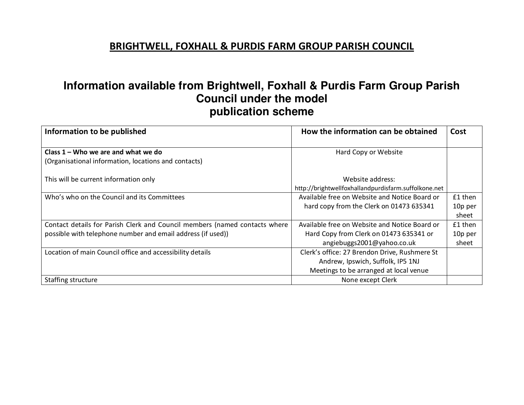# **Information available from Brightwell, Foxhall & Purdis Farm Group Parish Council under the model publication scheme**

| Information to be published                                                                                                               | How the information can be obtained                                                                                          | Cost                        |
|-------------------------------------------------------------------------------------------------------------------------------------------|------------------------------------------------------------------------------------------------------------------------------|-----------------------------|
| Class $1 -$ Who we are and what we do<br>(Organisational information, locations and contacts)                                             | Hard Copy or Website                                                                                                         |                             |
| This will be current information only                                                                                                     | Website address:<br>http://brightwellfoxhallandpurdisfarm.suffolkone.net                                                     |                             |
| Who's who on the Council and its Committees                                                                                               | Available free on Website and Notice Board or<br>hard copy from the Clerk on 01473 635341                                    | £1 then<br>10p per<br>sheet |
| Contact details for Parish Clerk and Council members (named contacts where<br>possible with telephone number and email address (if used)) | Available free on Website and Notice Board or<br>Hard Copy from Clerk on 01473 635341 or<br>angiebuggs2001@yahoo.co.uk       | £1 then<br>10p per<br>sheet |
| Location of main Council office and accessibility details                                                                                 | Clerk's office: 27 Brendon Drive, Rushmere St<br>Andrew, Ipswich, Suffolk, IP5 1NJ<br>Meetings to be arranged at local venue |                             |
| Staffing structure                                                                                                                        | None except Clerk                                                                                                            |                             |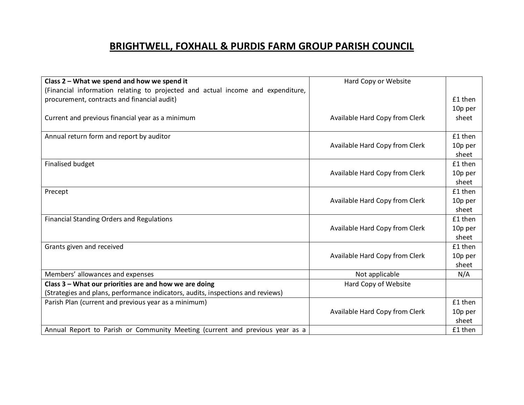| Class 2 - What we spend and how we spend it                                     | Hard Copy or Website           |         |
|---------------------------------------------------------------------------------|--------------------------------|---------|
| (Financial information relating to projected and actual income and expenditure, |                                |         |
| procurement, contracts and financial audit)                                     |                                | £1 then |
|                                                                                 |                                | 10p per |
| Current and previous financial year as a minimum                                | Available Hard Copy from Clerk | sheet   |
|                                                                                 |                                |         |
| Annual return form and report by auditor                                        |                                | £1 then |
|                                                                                 | Available Hard Copy from Clerk | 10p per |
|                                                                                 |                                | sheet   |
| <b>Finalised budget</b>                                                         |                                | £1 then |
|                                                                                 | Available Hard Copy from Clerk | 10p per |
|                                                                                 |                                | sheet   |
| Precept                                                                         |                                | £1 then |
|                                                                                 | Available Hard Copy from Clerk | 10p per |
|                                                                                 |                                | sheet   |
| <b>Financial Standing Orders and Regulations</b>                                |                                | £1 then |
|                                                                                 | Available Hard Copy from Clerk | 10p per |
|                                                                                 |                                | sheet   |
| Grants given and received                                                       |                                | £1 then |
|                                                                                 | Available Hard Copy from Clerk | 10p per |
|                                                                                 |                                | sheet   |
| Members' allowances and expenses                                                | Not applicable                 | N/A     |
| Class 3 – What our priorities are and how we are doing                          | Hard Copy of Website           |         |
| (Strategies and plans, performance indicators, audits, inspections and reviews) |                                |         |
| Parish Plan (current and previous year as a minimum)                            |                                | £1 then |
|                                                                                 | Available Hard Copy from Clerk | 10p per |
|                                                                                 |                                | sheet   |
| Annual Report to Parish or Community Meeting (current and previous year as a    |                                | £1 then |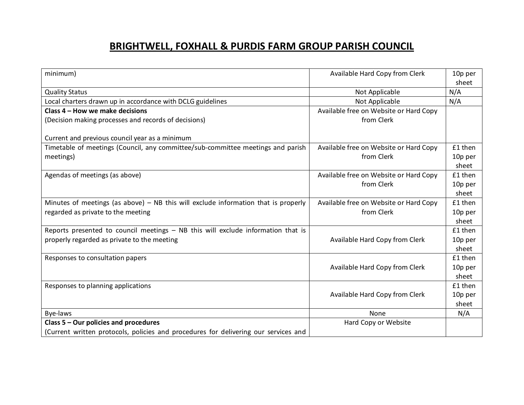| minimum)                                                                            | Available Hard Copy from Clerk         | 10p per<br>sheet |
|-------------------------------------------------------------------------------------|----------------------------------------|------------------|
| <b>Quality Status</b>                                                               | Not Applicable                         | N/A              |
| Local charters drawn up in accordance with DCLG guidelines                          | Not Applicable                         | N/A              |
| Class 4 - How we make decisions                                                     | Available free on Website or Hard Copy |                  |
| (Decision making processes and records of decisions)                                | from Clerk                             |                  |
| Current and previous council year as a minimum                                      |                                        |                  |
| Timetable of meetings (Council, any committee/sub-committee meetings and parish     | Available free on Website or Hard Copy | £1 then          |
| meetings)                                                                           | from Clerk                             | 10p per          |
|                                                                                     |                                        | sheet            |
| Agendas of meetings (as above)                                                      | Available free on Website or Hard Copy | £1 then          |
|                                                                                     | from Clerk                             | 10p per          |
|                                                                                     |                                        | sheet            |
| Minutes of meetings (as above) – NB this will exclude information that is properly  | Available free on Website or Hard Copy | £1 then          |
| regarded as private to the meeting                                                  | from Clerk                             | 10p per          |
|                                                                                     |                                        | sheet            |
| Reports presented to council meetings - NB this will exclude information that is    |                                        | £1 then          |
| properly regarded as private to the meeting                                         | Available Hard Copy from Clerk         | 10p per          |
|                                                                                     |                                        | sheet            |
| Responses to consultation papers                                                    |                                        | £1 then          |
|                                                                                     | Available Hard Copy from Clerk         | 10p per          |
|                                                                                     |                                        | sheet            |
| Responses to planning applications                                                  |                                        | £1 then          |
|                                                                                     | Available Hard Copy from Clerk         | 10p per          |
|                                                                                     |                                        | sheet            |
| Bye-laws                                                                            | None                                   | N/A              |
| Class 5 - Our policies and procedures                                               | Hard Copy or Website                   |                  |
| (Current written protocols, policies and procedures for delivering our services and |                                        |                  |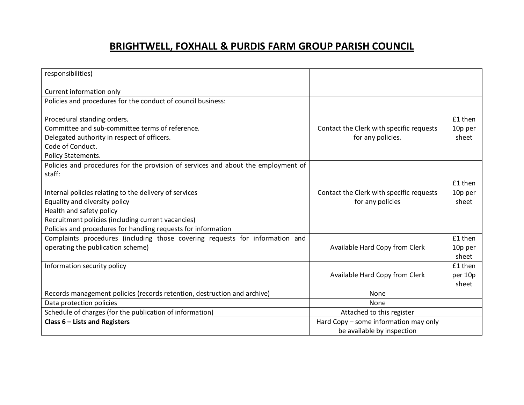| responsibilities)                                                                 |                                          |         |
|-----------------------------------------------------------------------------------|------------------------------------------|---------|
| Current information only                                                          |                                          |         |
| Policies and procedures for the conduct of council business:                      |                                          |         |
|                                                                                   |                                          |         |
| Procedural standing orders.                                                       |                                          | £1 then |
| Committee and sub-committee terms of reference.                                   | Contact the Clerk with specific requests | 10p per |
| Delegated authority in respect of officers.                                       | for any policies.                        | sheet   |
| Code of Conduct.                                                                  |                                          |         |
| Policy Statements.                                                                |                                          |         |
| Policies and procedures for the provision of services and about the employment of |                                          |         |
| staff:                                                                            |                                          |         |
|                                                                                   |                                          | £1 then |
| Internal policies relating to the delivery of services                            | Contact the Clerk with specific requests | 10p per |
| Equality and diversity policy                                                     | for any policies                         | sheet   |
| Health and safety policy                                                          |                                          |         |
| Recruitment policies (including current vacancies)                                |                                          |         |
| Policies and procedures for handling requests for information                     |                                          |         |
| Complaints procedures (including those covering requests for information and      |                                          | £1 then |
| operating the publication scheme)                                                 | Available Hard Copy from Clerk           | 10p per |
|                                                                                   |                                          | sheet   |
| Information security policy                                                       |                                          | £1 then |
|                                                                                   | Available Hard Copy from Clerk           | per 10p |
|                                                                                   |                                          | sheet   |
| Records management policies (records retention, destruction and archive)          | None                                     |         |
| Data protection policies                                                          | None                                     |         |
| Schedule of charges (for the publication of information)                          | Attached to this register                |         |
| Class $6$ – Lists and Registers                                                   | Hard Copy - some information may only    |         |
|                                                                                   | be available by inspection               |         |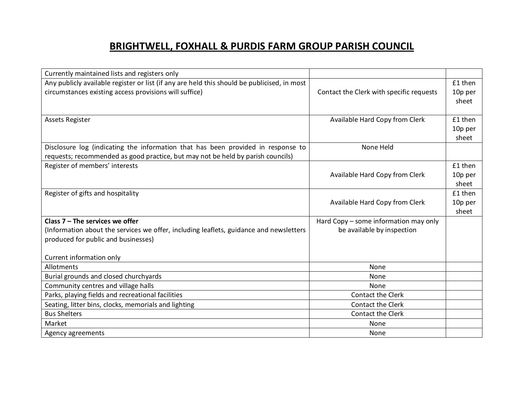| Currently maintained lists and registers only                                               |                                          |         |
|---------------------------------------------------------------------------------------------|------------------------------------------|---------|
| Any publicly available register or list (if any are held this should be publicised, in most |                                          | £1 then |
| circumstances existing access provisions will suffice)                                      | Contact the Clerk with specific requests | 10p per |
|                                                                                             |                                          | sheet   |
|                                                                                             |                                          |         |
| <b>Assets Register</b>                                                                      | Available Hard Copy from Clerk           | £1 then |
|                                                                                             |                                          | 10p per |
|                                                                                             |                                          | sheet   |
| Disclosure log (indicating the information that has been provided in response to            | None Held                                |         |
| requests; recommended as good practice, but may not be held by parish councils)             |                                          |         |
| Register of members' interests                                                              |                                          | £1 then |
|                                                                                             | Available Hard Copy from Clerk           | 10p per |
|                                                                                             |                                          | sheet   |
| Register of gifts and hospitality                                                           |                                          | £1 then |
|                                                                                             | Available Hard Copy from Clerk           | 10p per |
|                                                                                             |                                          | sheet   |
| Class $7$ – The services we offer                                                           | Hard Copy - some information may only    |         |
| (Information about the services we offer, including leaflets, guidance and newsletters      | be available by inspection               |         |
| produced for public and businesses)                                                         |                                          |         |
|                                                                                             |                                          |         |
| Current information only                                                                    |                                          |         |
| Allotments                                                                                  | None                                     |         |
| Burial grounds and closed churchyards                                                       | None                                     |         |
| Community centres and village halls                                                         | None                                     |         |
| Parks, playing fields and recreational facilities                                           | Contact the Clerk                        |         |
| Seating, litter bins, clocks, memorials and lighting                                        | Contact the Clerk                        |         |
| <b>Bus Shelters</b>                                                                         | Contact the Clerk                        |         |
| Market                                                                                      | None                                     |         |
| Agency agreements                                                                           | None                                     |         |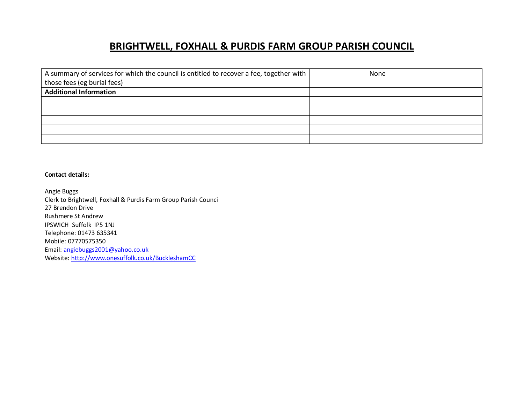| A summary of services for which the council is entitled to recover a fee, together with | None |  |
|-----------------------------------------------------------------------------------------|------|--|
| those fees (eg burial fees)                                                             |      |  |
| <b>Additional Information</b>                                                           |      |  |
|                                                                                         |      |  |
|                                                                                         |      |  |
|                                                                                         |      |  |
|                                                                                         |      |  |
|                                                                                         |      |  |

#### **Contact details:**

Angie Buggs Clerk to Brightwell, Foxhall & Purdis Farm Group Parish Counci 27 Brendon Drive Rushmere St Andrew IPSWICH Suffolk IP5 1NJ Telephone: 01473 635341 Mobile: 07770575350 Email: angiebuggs2001@yahoo.co.uk Website: http://www.onesuffolk.co.uk/BuckleshamCC